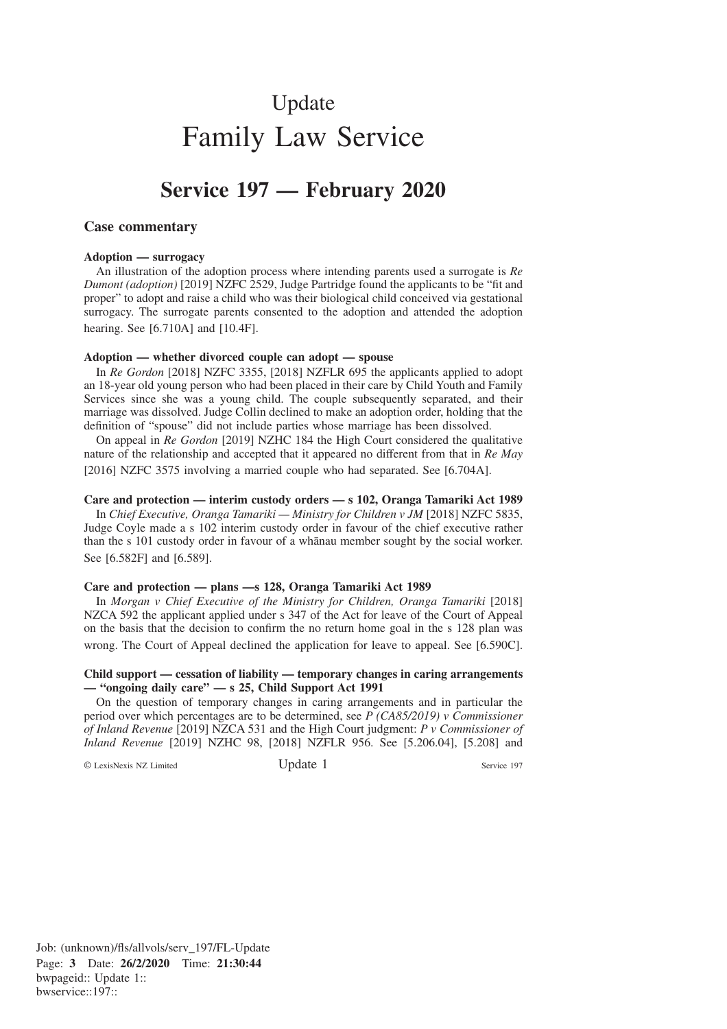# Update Family Law Service

## **Service 197 — February 2020**

## **Case commentary**

#### **Adoption — surrogacy**

An illustration of the adoption process where intending parents used a surrogate is *Re Dumont (adoption)* [2019] NZFC 2529, Judge Partridge found the applicants to be "fit and proper" to adopt and raise a child who was their biological child conceived via gestational surrogacy. The surrogate parents consented to the adoption and attended the adoption hearing. See [6.710A] and [10.4F].

#### **Adoption — whether divorced couple can adopt — spouse**

In *Re Gordon* [2018] NZFC 3355, [2018] NZFLR 695 the applicants applied to adopt an 18-year old young person who had been placed in their care by Child Youth and Family Services since she was a young child. The couple subsequently separated, and their marriage was dissolved. Judge Collin declined to make an adoption order, holding that the definition of "spouse" did not include parties whose marriage has been dissolved.

On appeal in *Re Gordon* [2019] NZHC 184 the High Court considered the qualitative nature of the relationship and accepted that it appeared no different from that in *Re May* [2016] NZFC 3575 involving a married couple who had separated. See [6.704A].

## **Care and protection — interim custody orders — s 102, Oranga Tamariki Act 1989**

In *Chief Executive, Oranga Tamariki — Ministry for Children v JM* [2018] NZFC 5835, Judge Coyle made a s 102 interim custody order in favour of the chief executive rather than the s 101 custody order in favour of a whanau member sought by the social worker. See [6.582F] and [6.589].

## **Care and protection — plans —s 128, Oranga Tamariki Act 1989**

In *Morgan v Chief Executive of the Ministry for Children, Oranga Tamariki* [2018] NZCA 592 the applicant applied under s 347 of the Act for leave of the Court of Appeal on the basis that the decision to confirm the no return home goal in the s 128 plan was wrong. The Court of Appeal declined the application for leave to appeal. See [6.590C].

## **Child support — cessation of liability — temporary changes in caring arrangements — "ongoing daily care" — s 25, Child Support Act 1991**

On the question of temporary changes in caring arrangements and in particular the period over which percentages are to be determined, see *P (CA85/2019) v Commissioner of Inland Revenue* [2019] NZCA 531 and the High Court judgment: *P v Commissioner of Inland Revenue* [2019] NZHC 98, [2018] NZFLR 956. See [5.206.04], [5.208] and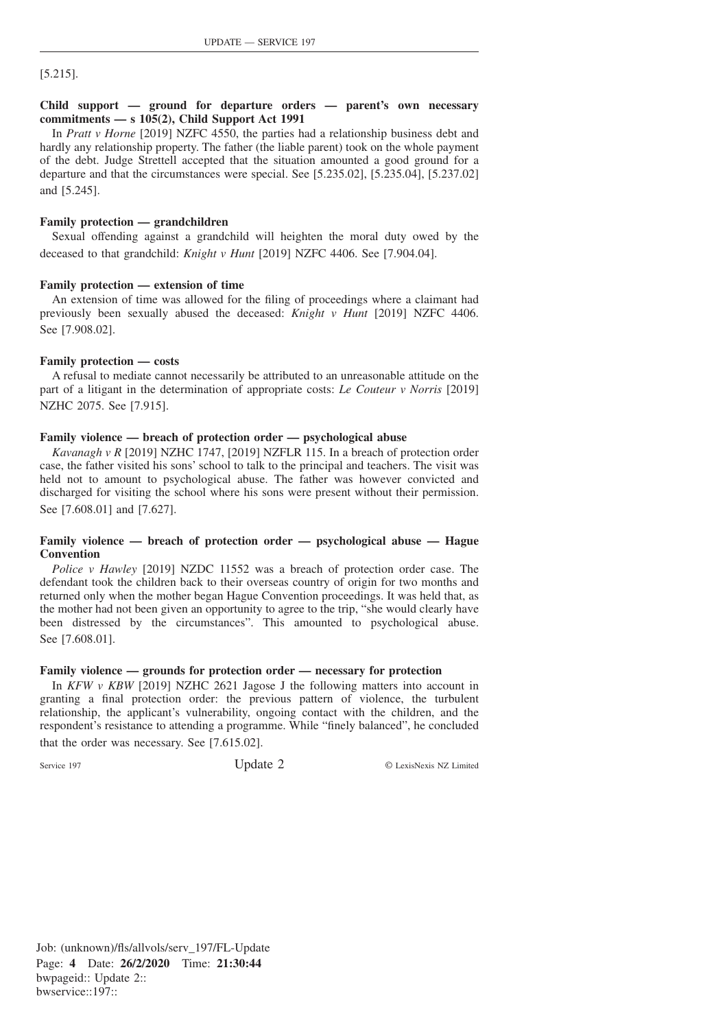[5.215].

## **Child support — ground for departure orders — parent's own necessary commitments — s 105(2), Child Support Act 1991**

In *Pratt v Horne* [2019] NZFC 4550, the parties had a relationship business debt and hardly any relationship property. The father (the liable parent) took on the whole payment of the debt. Judge Strettell accepted that the situation amounted a good ground for a departure and that the circumstances were special. See [5.235.02], [5.235.04], [5.237.02] and [5.245].

## **Family protection — grandchildren**

Sexual offending against a grandchild will heighten the moral duty owed by the deceased to that grandchild: *Knight v Hunt* [2019] NZFC 4406. See [7.904.04].

## **Family protection — extension of time**

An extension of time was allowed for the filing of proceedings where a claimant had previously been sexually abused the deceased: *Knight v Hunt* [2019] NZFC 4406. See [7.908.02].

## **Family protection — costs**

A refusal to mediate cannot necessarily be attributed to an unreasonable attitude on the part of a litigant in the determination of appropriate costs: *Le Couteur v Norris* [2019] NZHC 2075. See [7.915].

## **Family violence — breach of protection order — psychological abuse**

*Kavanagh v R* [2019] NZHC 1747, [2019] NZFLR 115. In a breach of protection order case, the father visited his sons' school to talk to the principal and teachers. The visit was held not to amount to psychological abuse. The father was however convicted and discharged for visiting the school where his sons were present without their permission. See [7.608.01] and [7.627].

## **Family violence — breach of protection order — psychological abuse — Hague Convention**

*Police v Hawley* [2019] NZDC 11552 was a breach of protection order case. The defendant took the children back to their overseas country of origin for two months and returned only when the mother began Hague Convention proceedings. It was held that, as the mother had not been given an opportunity to agree to the trip, "she would clearly have been distressed by the circumstances". This amounted to psychological abuse. See [7.608.01].

## **Family violence — grounds for protection order — necessary for protection**

In *KFW v KBW* [2019] NZHC 2621 Jagose J the following matters into account in granting a final protection order: the previous pattern of violence, the turbulent relationship, the applicant's vulnerability, ongoing contact with the children, and the respondent's resistance to attending a programme. While "finely balanced", he concluded

that the order was necessary. See [7.615.02].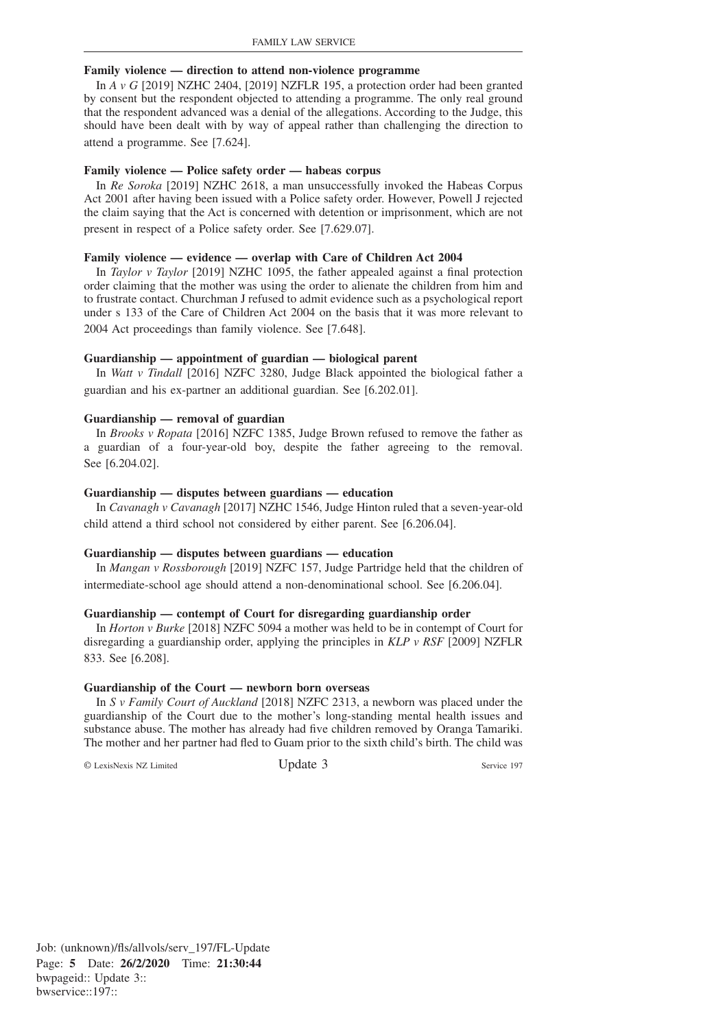#### **Family violence — direction to attend non-violence programme**

In *A v G* [2019] NZHC 2404, [2019] NZFLR 195, a protection order had been granted by consent but the respondent objected to attending a programme. The only real ground that the respondent advanced was a denial of the allegations. According to the Judge, this should have been dealt with by way of appeal rather than challenging the direction to attend a programme. See [7.624].

#### **Family violence — Police safety order — habeas corpus**

In *Re Soroka* [2019] NZHC 2618, a man unsuccessfully invoked the Habeas Corpus Act 2001 after having been issued with a Police safety order. However, Powell J rejected the claim saying that the Act is concerned with detention or imprisonment, which are not present in respect of a Police safety order. See [7.629.07].

#### **Family violence — evidence — overlap with Care of Children Act 2004**

In *Taylor v Taylor* [2019] NZHC 1095, the father appealed against a final protection order claiming that the mother was using the order to alienate the children from him and to frustrate contact. Churchman J refused to admit evidence such as a psychological report under s 133 of the Care of Children Act 2004 on the basis that it was more relevant to 2004 Act proceedings than family violence. See [7.648].

## **Guardianship — appointment of guardian — biological parent**

In *Watt v Tindall* [2016] NZFC 3280, Judge Black appointed the biological father a guardian and his ex-partner an additional guardian. See [6.202.01].

#### **Guardianship — removal of guardian**

In *Brooks v Ropata* [2016] NZFC 1385, Judge Brown refused to remove the father as a guardian of a four-year-old boy, despite the father agreeing to the removal. See [6.204.02].

#### **Guardianship — disputes between guardians — education**

In *Cavanagh v Cavanagh* [2017] NZHC 1546, Judge Hinton ruled that a seven-year-old child attend a third school not considered by either parent. See [6.206.04].

#### **Guardianship — disputes between guardians — education**

In *Mangan v Rossborough* [2019] NZFC 157, Judge Partridge held that the children of intermediate-school age should attend a non-denominational school. See [6.206.04].

#### **Guardianship — contempt of Court for disregarding guardianship order**

In *Horton v Burke* [2018] NZFC 5094 a mother was held to be in contempt of Court for disregarding a guardianship order, applying the principles in *KLP v RSF* [2009] NZFLR 833. See [6.208].

#### **Guardianship of the Court — newborn born overseas**

In *S v Family Court of Auckland* [2018] NZFC 2313, a newborn was placed under the guardianship of the Court due to the mother's long-standing mental health issues and substance abuse. The mother has already had five children removed by Oranga Tamariki. The mother and her partner had fled to Guam prior to the sixth child's birth. The child was

© LexisNexis NZ Limited Update 3 Service 197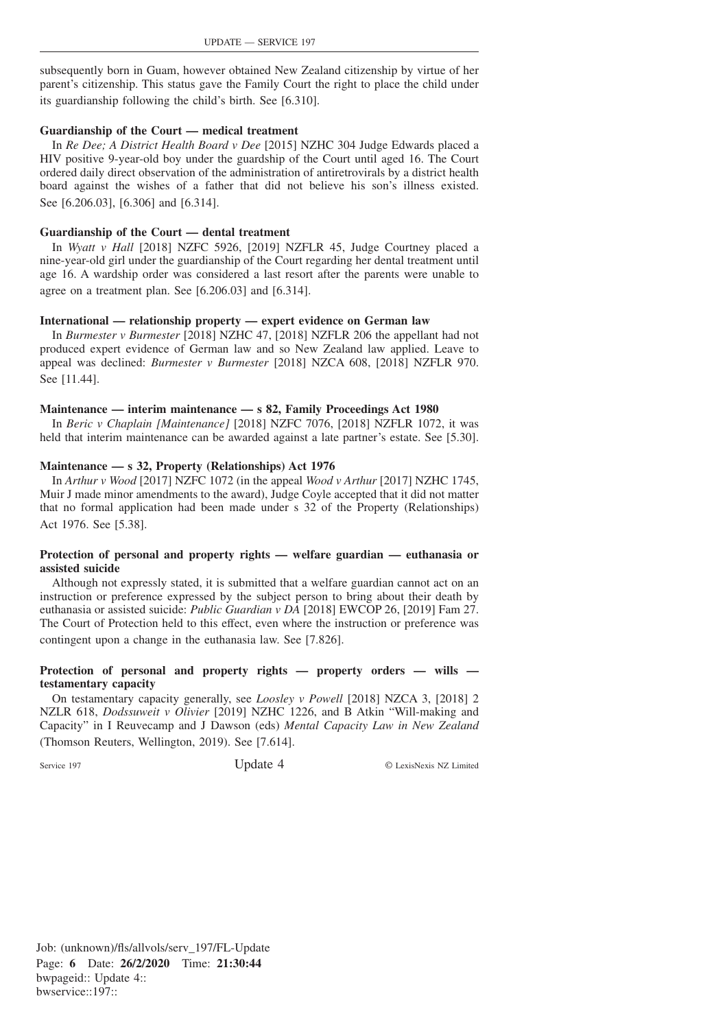subsequently born in Guam, however obtained New Zealand citizenship by virtue of her parent's citizenship. This status gave the Family Court the right to place the child under its guardianship following the child's birth. See [6.310].

## **Guardianship of the Court — medical treatment**

In *Re Dee; A District Health Board v Dee* [2015] NZHC 304 Judge Edwards placed a HIV positive 9-year-old boy under the guardship of the Court until aged 16. The Court ordered daily direct observation of the administration of antiretrovirals by a district health board against the wishes of a father that did not believe his son's illness existed. See [6.206.03], [6.306] and [6.314].

## **Guardianship of the Court — dental treatment**

In *Wyatt v Hall* [2018] NZFC 5926, [2019] NZFLR 45, Judge Courtney placed a nine-year-old girl under the guardianship of the Court regarding her dental treatment until age 16. A wardship order was considered a last resort after the parents were unable to agree on a treatment plan. See [6.206.03] and [6.314].

## **International — relationship property — expert evidence on German law**

In *Burmester v Burmester* [2018] NZHC 47, [2018] NZFLR 206 the appellant had not produced expert evidence of German law and so New Zealand law applied. Leave to appeal was declined: *Burmester v Burmester* [2018] NZCA 608, [2018] NZFLR 970. See [11.44].

## **Maintenance — interim maintenance — s 82, Family Proceedings Act 1980**

In *Beric v Chaplain [Maintenance]* [2018] NZFC 7076, [2018] NZFLR 1072, it was held that interim maintenance can be awarded against a late partner's estate. See [5.30].

## **Maintenance — s 32, Property (Relationships) Act 1976**

In *Arthur v Wood* [2017] NZFC 1072 (in the appeal *Wood v Arthur* [2017] NZHC 1745, Muir J made minor amendments to the award), Judge Coyle accepted that it did not matter that no formal application had been made under s 32 of the Property (Relationships) Act 1976. See [5.38].

## **Protection of personal and property rights — welfare guardian — euthanasia or assisted suicide**

Although not expressly stated, it is submitted that a welfare guardian cannot act on an instruction or preference expressed by the subject person to bring about their death by euthanasia or assisted suicide: *Public Guardian v DA* [2018] EWCOP 26, [2019] Fam 27. The Court of Protection held to this effect, even where the instruction or preference was contingent upon a change in the euthanasia law. See [7.826].

## **Protection of personal and property rights — property orders — wills testamentary capacity**

On testamentary capacity generally, see *Loosley v Powell* [2018] NZCA 3, [2018] 2 NZLR 618, *Dodssuweit v Olivier* [2019] NZHC 1226, and B Atkin "Will-making and Capacity" in I Reuvecamp and J Dawson (eds) *Mental Capacity Law in New Zealand* (Thomson Reuters, Wellington, 2019). See [7.614].